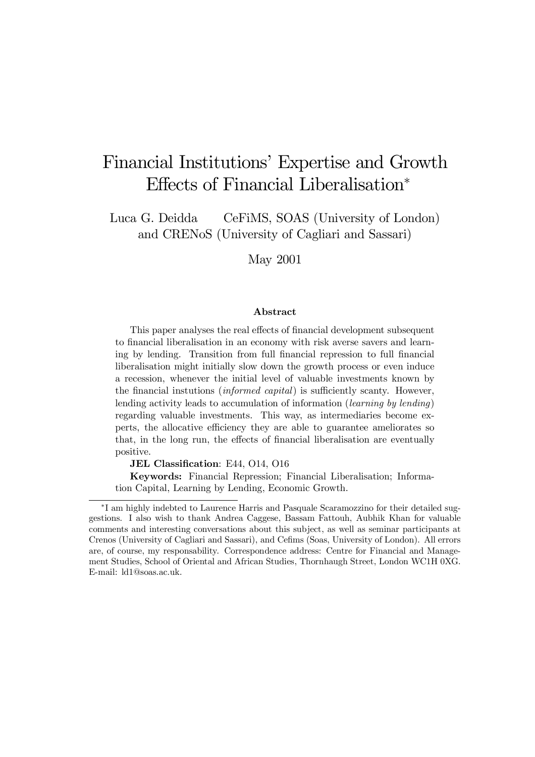# Financial Institutions' Expertise and Growth Effects of Financial Liberalisation<sup>∗</sup>

Luca G. Deidda CeFiMS, SOAS (University of London) and CRENoS (University of Cagliari and Sassari)

May 2001

#### Abstract

This paper analyses the real effects of financial development subsequent to financial liberalisation in an economy with risk averse savers and learning by lending. Transition from full financial repression to full financial liberalisation might initially slow down the growth process or even induce a recession, whenever the initial level of valuable investments known by the financial instutions (informed capital) is sufficiently scanty. However, lending activity leads to accumulation of information (learning by lending) regarding valuable investments. This way, as intermediaries become experts, the allocative efficiency they are able to guarantee ameliorates so that, in the long run, the effects of financial liberalisation are eventually positive.

JEL Classification: E44, O14, O16

Keywords: Financial Repression; Financial Liberalisation; Information Capital, Learning by Lending, Economic Growth.

<sup>∗</sup>I am highly indebted to Laurence Harris and Pasquale Scaramozzino for their detailed suggestions. I also wish to thank Andrea Caggese, Bassam Fattouh, Aubhik Khan for valuable comments and interesting conversations about this subject, as well as seminar participants at Crenos (University of Cagliari and Sassari), and Cefims (Soas, University of London). All errors are, of course, my responsability. Correspondence address: Centre for Financial and Management Studies, School of Oriental and African Studies, Thornhaugh Street, London WC1H 0XG. E-mail: ld1@soas.ac.uk.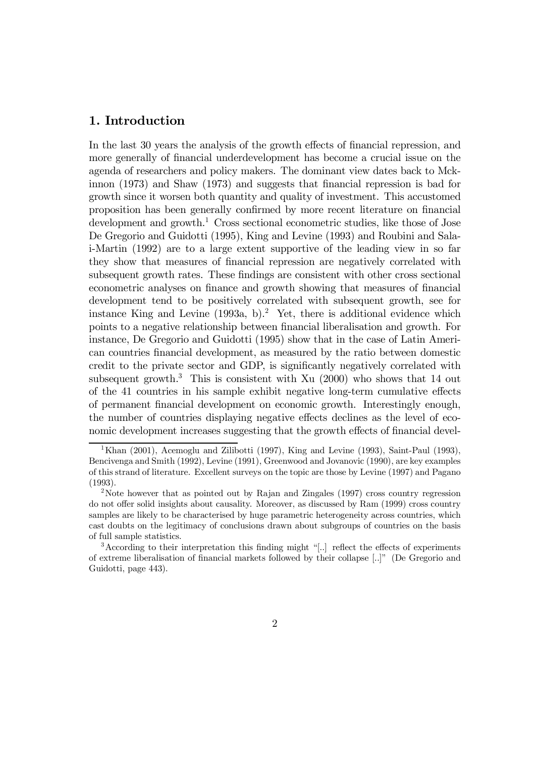#### 1. Introduction

In the last 30 years the analysis of the growth effects of financial repression, and more generally of financial underdevelopment has become a crucial issue on the agenda of researchers and policy makers. The dominant view dates back to Mckinnon (1973) and Shaw (1973) and suggests that financial repression is bad for growth since it worsen both quantity and quality of investment. This accustomed proposition has been generally confirmed by more recent literature on financial  $development$  and growth.<sup>1</sup> Cross sectional econometric studies, like those of Jose De Gregorio and Guidotti (1995), King and Levine (1993) and Roubini and Salai-Martin (1992) are to a large extent supportive of the leading view in so far they show that measures of financial repression are negatively correlated with subsequent growth rates. These findings are consistent with other cross sectional econometric analyses on finance and growth showing that measures of financial development tend to be positively correlated with subsequent growth, see for instance King and Levine  $(1993a, b)^2$ . Yet, there is additional evidence which points to a negative relationship between financial liberalisation and growth. For instance, De Gregorio and Guidotti (1995) show that in the case of Latin American countries financial development, as measured by the ratio between domestic credit to the private sector and GDP, is significantly negatively correlated with subsequent growth.<sup>3</sup> This is consistent with Xu  $(2000)$  who shows that 14 out of the 41 countries in his sample exhibit negative long-term cumulative effects of permanent financial development on economic growth. Interestingly enough, the number of countries displaying negative effects declines as the level of economic development increases suggesting that the growth effects of financial devel-

<sup>&</sup>lt;sup>1</sup>Khan (2001), Acemoglu and Zilibotti (1997), King and Levine (1993), Saint-Paul (1993), Bencivenga and Smith (1992), Levine (1991), Greenwood and Jovanovic (1990), are key examples of this strand of literature. Excellent surveys on the topic are those by Levine (1997) and Pagano (1993).

<sup>&</sup>lt;sup>2</sup>Note however that as pointed out by Rajan and Zingales (1997) cross country regression do not offer solid insights about causality. Moreover, as discussed by Ram (1999) cross country samples are likely to be characterised by huge parametric heterogeneity across countries, which cast doubts on the legitimacy of conclusions drawn about subgroups of countries on the basis of full sample statistics.

 $3$ According to their interpretation this finding might "[..] reflect the effects of experiments of extreme liberalisation of financial markets followed by their collapse [..]î (De Gregorio and Guidotti, page 443).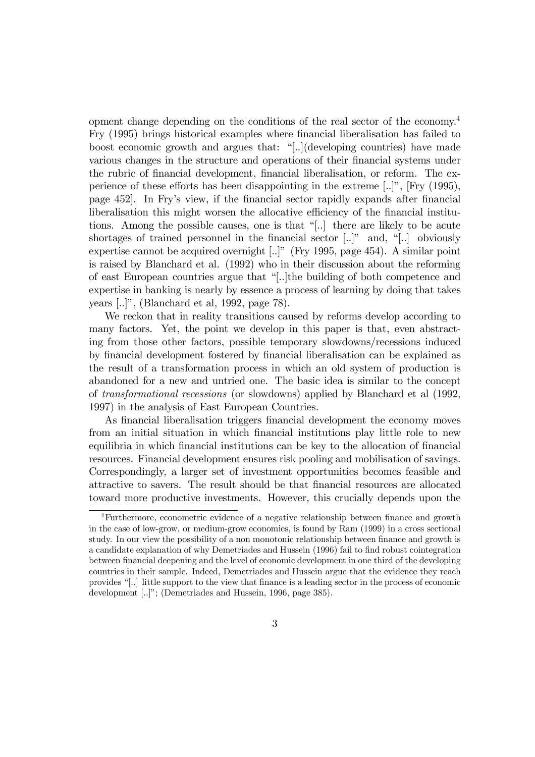opment change depending on the conditions of the real sector of the economy.4 Fry (1995) brings historical examples where financial liberalisation has failed to boost economic growth and argues that: "[..](developing countries) have made various changes in the structure and operations of their financial systems under the rubric of financial development, financial liberalisation, or reform. The experience of these efforts has been disappointing in the extreme  $[...]$ <sup>"</sup>,  $[Fry (1995)$ , page 452]. In Fryís view, if the financial sector rapidly expands after financial liberalisation this might worsen the allocative efficiency of the financial institutions. Among the possible causes, one is that "[..] there are likely to be acute shortages of trained personnel in the financial sector  $[...]$ <sup>n</sup> and, " $[...]$  obviously expertise cannot be acquired overnight  $[...]$ " (Fry 1995, page 454). A similar point is raised by Blanchard et al. (1992) who in their discussion about the reforming of east European countries argue that "[..]the building of both competence and expertise in banking is nearly by essence a process of learning by doing that takes years  $\lbrack .. \rbrack$ ", (Blanchard et al, 1992, page 78).

We reckon that in reality transitions caused by reforms develop according to many factors. Yet, the point we develop in this paper is that, even abstracting from those other factors, possible temporary slowdowns/recessions induced by financial development fostered by financial liberalisation can be explained as the result of a transformation process in which an old system of production is abandoned for a new and untried one. The basic idea is similar to the concept of transformational recessions (or slowdowns) applied by Blanchard et al (1992, 1997) in the analysis of East European Countries.

As financial liberalisation triggers financial development the economy moves from an initial situation in which financial institutions play little role to new equilibria in which financial institutions can be key to the allocation of financial resources. Financial development ensures risk pooling and mobilisation of savings. Correspondingly, a larger set of investment opportunities becomes feasible and attractive to savers. The result should be that financial resources are allocated toward more productive investments. However, this crucially depends upon the

<sup>4</sup>Furthermore, econometric evidence of a negative relationship between finance and growth in the case of low-grow, or medium-grow economies, is found by Ram (1999) in a cross sectional study. In our view the possibility of a non monotonic relationship between finance and growth is a candidate explanation of why Demetriades and Hussein (1996) fail to find robust cointegration between financial deepening and the level of economic development in one third of the developing countries in their sample. Indeed, Demetriades and Hussein argue that the evidence they reach provides ì[..] little support to the view that finance is a leading sector in the process of economic development [..]"; (Demetriades and Hussein, 1996, page 385).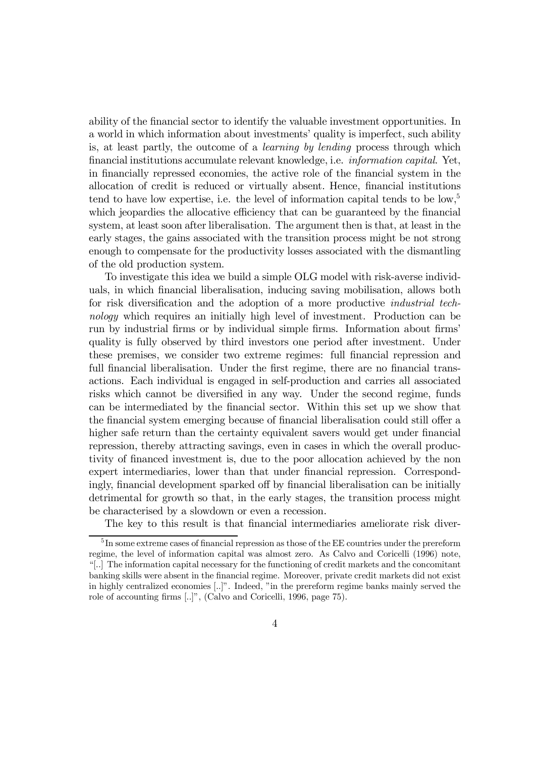ability of the financial sector to identify the valuable investment opportunities. In a world in which information about investments' quality is imperfect, such ability is, at least partly, the outcome of a learning by lending process through which financial institutions accumulate relevant knowledge, i.e. information capital. Yet, in financially repressed economies, the active role of the financial system in the allocation of credit is reduced or virtually absent. Hence, financial institutions tend to have low expertise, i.e. the level of information capital tends to be low, $5$ which jeopardies the allocative efficiency that can be guaranteed by the financial system, at least soon after liberalisation. The argument then is that, at least in the early stages, the gains associated with the transition process might be not strong enough to compensate for the productivity losses associated with the dismantling of the old production system.

To investigate this idea we build a simple OLG model with risk-averse individuals, in which financial liberalisation, inducing saving mobilisation, allows both for risk diversification and the adoption of a more productive industrial technology which requires an initially high level of investment. Production can be run by industrial firms or by individual simple firms. Information about firmsí quality is fully observed by third investors one period after investment. Under these premises, we consider two extreme regimes: full financial repression and full financial liberalisation. Under the first regime, there are no financial transactions. Each individual is engaged in self-production and carries all associated risks which cannot be diversified in any way. Under the second regime, funds can be intermediated by the financial sector. Within this set up we show that the financial system emerging because of financial liberalisation could still offer a higher safe return than the certainty equivalent savers would get under financial repression, thereby attracting savings, even in cases in which the overall productivity of financed investment is, due to the poor allocation achieved by the non expert intermediaries, lower than that under financial repression. Correspondingly, financial development sparked off by financial liberalisation can be initially detrimental for growth so that, in the early stages, the transition process might be characterised by a slowdown or even a recession.

The key to this result is that financial intermediaries ameliorate risk diver-

<sup>5</sup> In some extreme cases of financial repression as those of the EE countries under the prereform regime, the level of information capital was almost zero. As Calvo and Coricelli (1996) note, ì[..] The information capital necessary for the functioning of credit markets and the concomitant banking skills were absent in the financial regime. Moreover, private credit markets did not exist in highly centralized economies [..]". Indeed, "in the prereform regime banks mainly served the role of accounting firms [..]", (Calvo and Coricelli, 1996, page 75).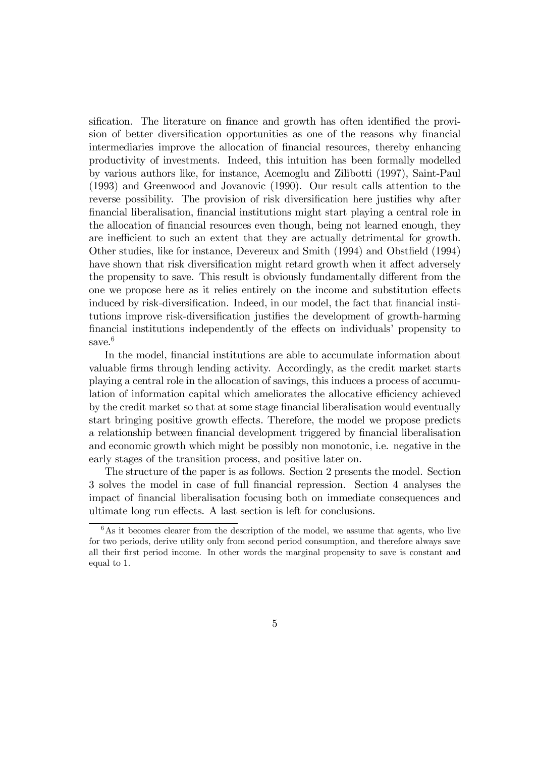sification. The literature on finance and growth has often identified the provision of better diversification opportunities as one of the reasons why financial intermediaries improve the allocation of financial resources, thereby enhancing productivity of investments. Indeed, this intuition has been formally modelled by various authors like, for instance, Acemoglu and Zilibotti (1997), Saint-Paul (1993) and Greenwood and Jovanovic (1990). Our result calls attention to the reverse possibility. The provision of risk diversification here justifies why after financial liberalisation, financial institutions might start playing a central role in the allocation of financial resources even though, being not learned enough, they are inefficient to such an extent that they are actually detrimental for growth. Other studies, like for instance, Devereux and Smith (1994) and Obstfield (1994) have shown that risk diversification might retard growth when it affect adversely the propensity to save. This result is obviously fundamentally different from the one we propose here as it relies entirely on the income and substitution effects induced by risk-diversification. Indeed, in our model, the fact that financial institutions improve risk-diversification justifies the development of growth-harming financial institutions independently of the effects on individuals' propensity to save.<sup>6</sup>

In the model, financial institutions are able to accumulate information about valuable firms through lending activity. Accordingly, as the credit market starts playing a central role in the allocation of savings, this induces a process of accumulation of information capital which ameliorates the allocative efficiency achieved by the credit market so that at some stage financial liberalisation would eventually start bringing positive growth effects. Therefore, the model we propose predicts a relationship between financial development triggered by financial liberalisation and economic growth which might be possibly non monotonic, i.e. negative in the early stages of the transition process, and positive later on.

The structure of the paper is as follows. Section 2 presents the model. Section 3 solves the model in case of full financial repression. Section 4 analyses the impact of financial liberalisation focusing both on immediate consequences and ultimate long run effects. A last section is left for conclusions.

 $6$ As it becomes clearer from the description of the model, we assume that agents, who live for two periods, derive utility only from second period consumption, and therefore always save all their first period income. In other words the marginal propensity to save is constant and equal to 1.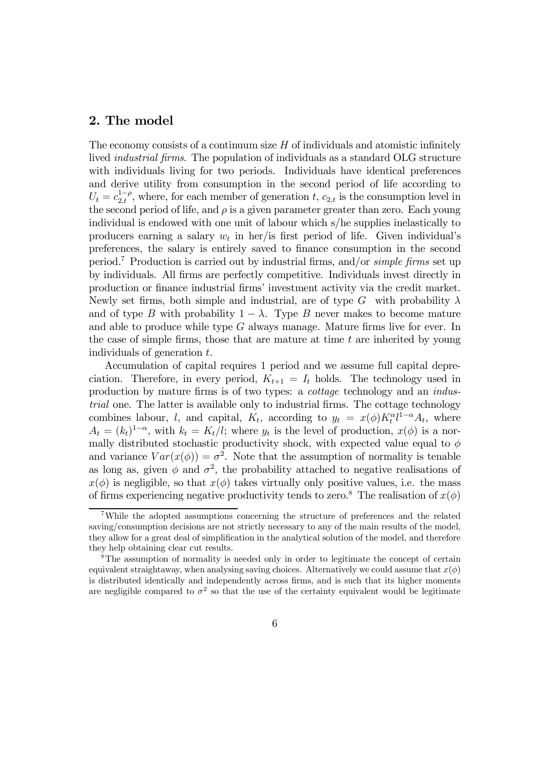#### 2. The model

The economy consists of a continuum size  $H$  of individuals and atomistic infinitely lived industrial firms. The population of individuals as a standard OLG structure with individuals living for two periods. Individuals have identical preferences and derive utility from consumption in the second period of life according to  $U_t = c_{2,t}^{1-\rho}$ , where, for each member of generation t,  $c_{2,t}$  is the consumption level in the second period of life, and  $\rho$  is a given parameter greater than zero. Each young individual is endowed with one unit of labour which s/he supplies inelastically to producers earning a salary  $w_t$  in her/is first period of life. Given individual's preferences, the salary is entirely saved to finance consumption in the second period.<sup>7</sup> Production is carried out by industrial firms, and/or *simple firms* set up by individuals. All firms are perfectly competitive. Individuals invest directly in production or finance industrial firms' investment activity via the credit market. Newly set firms, both simple and industrial, are of type G with probability  $\lambda$ and of type B with probability  $1 - \lambda$ . Type B never makes to become mature and able to produce while type G always manage. Mature firms live for ever. In the case of simple firms, those that are mature at time  $t$  are inherited by young individuals of generation  $t$ .

Accumulation of capital requires 1 period and we assume full capital depreciation. Therefore, in every period,  $K_{t+1} = I_t$  holds. The technology used in production by mature firms is of two types: a cottage technology and an industrial one. The latter is available only to industrial firms. The cottage technology combines labour, l, and capital,  $K_t$ , according to  $y_t = x(\phi) K_t^{\alpha} l^{1-\alpha} A_t$ , where  $A_t = (k_t)^{1-\alpha}$ , with  $k_t = K_t/l$ ; where  $y_t$  is the level of production,  $x(\phi)$  is a normally distributed stochastic productivity shock, with expected value equal to  $\phi$ and variance  $Var(x(\phi)) = \sigma^2$ . Note that the assumption of normality is tenable as long as, given  $\phi$  and  $\sigma^2$ , the probability attached to negative realisations of  $x(\phi)$  is negligible, so that  $x(\phi)$  takes virtually only positive values, i.e. the mass of firms experiencing negative productivity tends to zero.<sup>8</sup> The realisation of  $x(\phi)$ 

<sup>7</sup>While the adopted assumptions concerning the structure of preferences and the related saving/consumption decisions are not strictly necessary to any of the main results of the model, they allow for a great deal of simplification in the analytical solution of the model, and therefore they help obtaining clear cut results.

<sup>8</sup>The assumption of normality is needed only in order to legitimate the concept of certain equivalent straightaway, when analysing saving choices. Alternatively we could assume that  $x(\phi)$ is distributed identically and independently across firms, and is such that its higher moments are negligible compared to  $\sigma^2$  so that the use of the certainty equivalent would be legitimate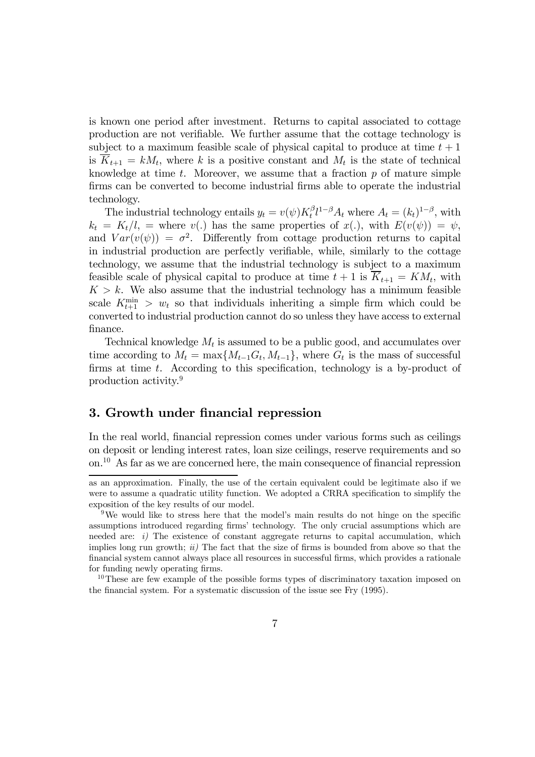is known one period after investment. Returns to capital associated to cottage production are not verifiable. We further assume that the cottage technology is subject to a maximum feasible scale of physical capital to produce at time  $t + 1$ is  $\overline{K}_{t+1} = kM_t$ , where k is a positive constant and  $M_t$  is the state of technical knowledge at time  $t$ . Moreover, we assume that a fraction  $p$  of mature simple firms can be converted to become industrial firms able to operate the industrial technology.

The industrial technology entails  $y_t = v(\psi) K_t^{\beta} l^{1-\beta} A_t$  where  $A_t = (k_t)^{1-\beta}$ , with  $k_t = K_t/l$ , = where  $v(.)$  has the same properties of  $x(.)$ , with  $E(v(\psi)) = \psi$ , and  $Var(v(\psi)) = \sigma^2$ . Differently from cottage production returns to capital in industrial production are perfectly verifiable, while, similarly to the cottage technology, we assume that the industrial technology is subject to a maximum feasible scale of physical capital to produce at time  $t + 1$  is  $\overline{K}_{t+1} = KM_t$ , with  $K > k$ . We also assume that the industrial technology has a minimum feasible scale  $K_{t+1}^{\min} > w_t$  so that individuals inheriting a simple firm which could be converted to industrial production cannot do so unless they have access to external finance.

Technical knowledge  $M_t$  is assumed to be a public good, and accumulates over time according to  $M_t = \max\{M_{t-1}G_t, M_{t-1}\}\$ , where  $G_t$  is the mass of successful firms at time t. According to this specification, technology is a by-product of production activity.9

#### 3. Growth under financial repression

In the real world, financial repression comes under various forms such as ceilings on deposit or lending interest rates, loan size ceilings, reserve requirements and so on.<sup>1</sup><sup>0</sup> As far as we are concerned here, the main consequence of financial repression

as an approximation. Finally, the use of the certain equivalent could be legitimate also if we were to assume a quadratic utility function. We adopted a CRRA specification to simplify the exposition of the key results of our model.

<sup>&</sup>lt;sup>9</sup>We would like to stress here that the model's main results do not hinge on the specific assumptions introduced regarding firms' technology. The only crucial assumptions which are needed are:  $i$ ) The existence of constant aggregate returns to capital accumulation, which implies long run growth;  $ii)$  The fact that the size of firms is bounded from above so that the financial system cannot always place all resources in successful firms, which provides a rationale for funding newly operating firms.

<sup>&</sup>lt;sup>10</sup>These are few example of the possible forms types of discriminatory taxation imposed on the financial system. For a systematic discussion of the issue see Fry (1995).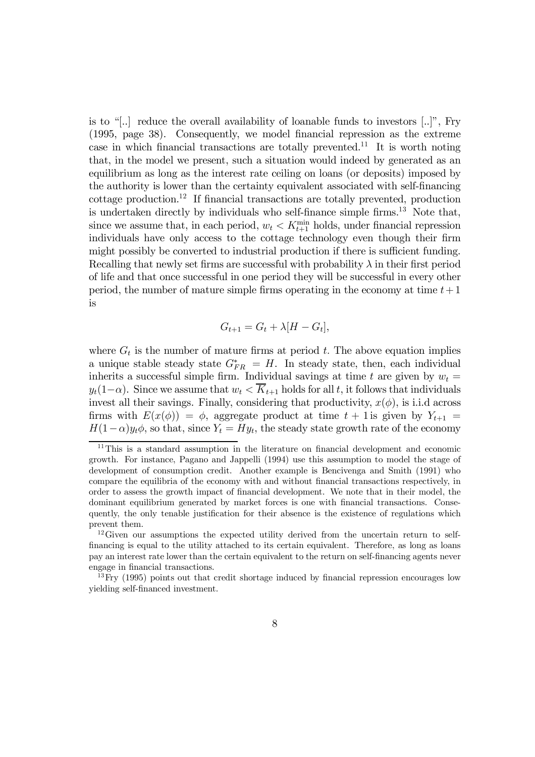is to "[..] reduce the overall availability of loanable funds to investors  $[..]$ ", Fry (1995, page 38). Consequently, we model financial repression as the extreme case in which financial transactions are totally prevented.<sup>11</sup> It is worth noting that, in the model we present, such a situation would indeed by generated as an equilibrium as long as the interest rate ceiling on loans (or deposits) imposed by the authority is lower than the certainty equivalent associated with self-financing cottage production.<sup>1</sup><sup>2</sup> If financial transactions are totally prevented, production is undertaken directly by individuals who self-finance simple firms.<sup>13</sup> Note that, since we assume that, in each period,  $w_t < K_{t+1}^{\min}$  holds, under financial repression individuals have only access to the cottage technology even though their firm might possibly be converted to industrial production if there is sufficient funding. Recalling that newly set firms are successful with probability  $\lambda$  in their first period of life and that once successful in one period they will be successful in every other period, the number of mature simple firms operating in the economy at time  $t+1$ is

$$
G_{t+1} = G_t + \lambda [H - G_t],
$$

where  $G_t$  is the number of mature firms at period t. The above equation implies a unique stable steady state  $G_{FR}^* = H$ . In steady state, then, each individual inherits a successful simple firm. Individual savings at time t are given by  $w_t =$  $y_t(1-\alpha)$ . Since we assume that  $w_t \leq \overline{K}_{t+1}$  holds for all t, it follows that individuals invest all their savings. Finally, considering that productivity,  $x(\phi)$ , is i.i.d across firms with  $E(x(\phi)) = \phi$ , aggregate product at time  $t + 1$  is given by  $Y_{t+1} =$  $H(1-\alpha)y_t\phi$ , so that, since  $Y_t = Hy_t$ , the steady state growth rate of the economy

 $11$ This is a standard assumption in the literature on financial development and economic growth. For instance, Pagano and Jappelli (1994) use this assumption to model the stage of development of consumption credit. Another example is Bencivenga and Smith (1991) who compare the equilibria of the economy with and without financial transactions respectively, in order to assess the growth impact of financial development. We note that in their model, the dominant equilibrium generated by market forces is one with financial transactions. Consequently, the only tenable justification for their absence is the existence of regulations which prevent them.

<sup>&</sup>lt;sup>12</sup>Given our assumptions the expected utility derived from the uncertain return to selffinancing is equal to the utility attached to its certain equivalent. Therefore, as long as loans pay an interest rate lower than the certain equivalent to the return on self-financing agents never engage in financial transactions.

 $13$  Fry (1995) points out that credit shortage induced by financial repression encourages low yielding self-financed investment.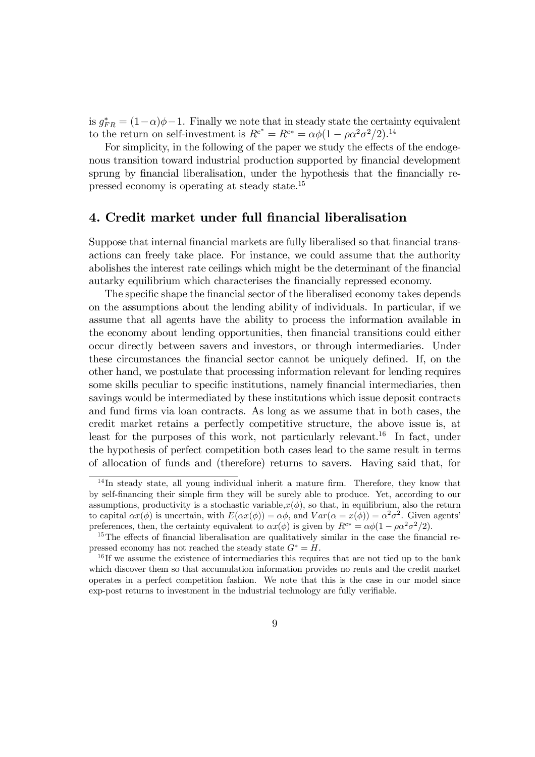is  $g_{FR}^* = (1-\alpha)\phi - 1$ . Finally we note that in steady state the certainty equivalent to the return on self-investment is  $R^{c^*} = R^{c^*} = \alpha \phi (1 - \rho \alpha^2 \sigma^2 / 2)^{14}$ 

For simplicity, in the following of the paper we study the effects of the endogenous transition toward industrial production supported by financial development sprung by financial liberalisation, under the hypothesis that the financially repressed economy is operating at steady state.<sup>1</sup><sup>5</sup>

#### 4. Credit market under full financial liberalisation

Suppose that internal financial markets are fully liberalised so that financial transactions can freely take place. For instance, we could assume that the authority abolishes the interest rate ceilings which might be the determinant of the financial autarky equilibrium which characterises the financially repressed economy.

The specific shape the financial sector of the liberalised economy takes depends on the assumptions about the lending ability of individuals. In particular, if we assume that all agents have the ability to process the information available in the economy about lending opportunities, then financial transitions could either occur directly between savers and investors, or through intermediaries. Under these circumstances the financial sector cannot be uniquely defined. If, on the other hand, we postulate that processing information relevant for lending requires some skills peculiar to specific institutions, namely financial intermediaries, then savings would be intermediated by these institutions which issue deposit contracts and fund firms via loan contracts. As long as we assume that in both cases, the credit market retains a perfectly competitive structure, the above issue is, at least for the purposes of this work, not particularly relevant.<sup>16</sup> In fact, under the hypothesis of perfect competition both cases lead to the same result in terms of allocation of funds and (therefore) returns to savers. Having said that, for

<sup>&</sup>lt;sup>14</sup>In steady state, all young individual inherit a mature firm. Therefore, they know that by self-financing their simple firm they will be surely able to produce. Yet, according to our assumptions, productivity is a stochastic variable, $x(\phi)$ , so that, in equilibrium, also the return to capital  $\alpha x(\phi)$  is uncertain, with  $E(\alpha x(\phi)) = \alpha \phi$ , and  $Var(\alpha = x(\phi)) = \alpha^2 \sigma^2$ . Given agents' preferences, then, the certainty equivalent to  $\alpha x(\phi)$  is given by  $R^{c*} = \alpha \phi (1 - \rho \alpha^2 \sigma^2 / 2)$ .

<sup>&</sup>lt;sup>15</sup>The effects of financial liberalisation are qualitatively similar in the case the financial repressed economy has not reached the steady state  $G^* = H$ .

 $16$  If we assume the existence of intermediaries this requires that are not tied up to the bank which discover them so that accumulation information provides no rents and the credit market operates in a perfect competition fashion. We note that this is the case in our model since exp-post returns to investment in the industrial technology are fully verifiable.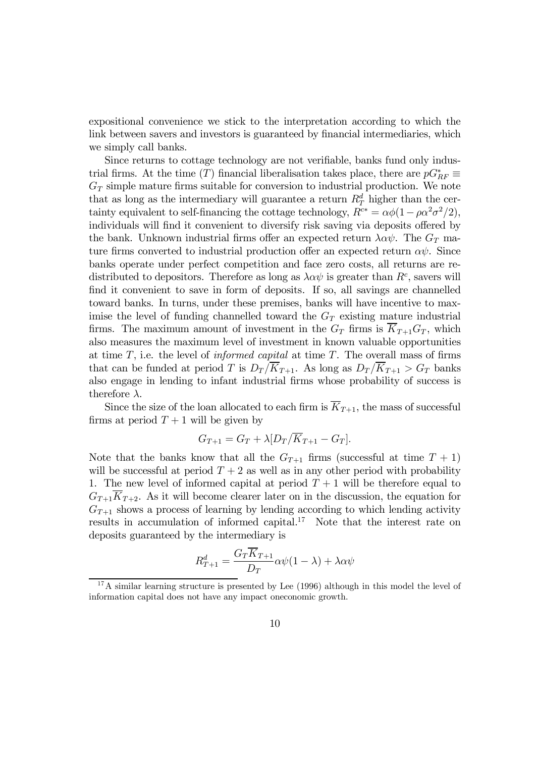expositional convenience we stick to the interpretation according to which the link between savers and investors is guaranteed by financial intermediaries, which we simply call banks.

Since returns to cottage technology are not verifiable, banks fund only industrial firms. At the time (T) financial liberalisation takes place, there are  $pG_{RF}^*$  $G_T$  simple mature firms suitable for conversion to industrial production. We note that as long as the intermediary will guarantee a return  $R_T^d$  higher than the certainty equivalent to self-financing the cottage technology,  $R^{c*} = \alpha \phi (1 - \rho \alpha^2 \sigma^2 / 2)$ , individuals will find it convenient to diversify risk saving via deposits offered by the bank. Unknown industrial firms offer an expected return  $\lambda \alpha \psi$ . The  $G_T$  mature firms converted to industrial production offer an expected return  $\alpha\psi$ . Since banks operate under perfect competition and face zero costs, all returns are redistributed to depositors. Therefore as long as  $\lambda \alpha \psi$  is greater than  $R^c$ , savers will find it convenient to save in form of deposits. If so, all savings are channelled toward banks. In turns, under these premises, banks will have incentive to maximise the level of funding channelled toward the  $G_T$  existing mature industrial firms. The maximum amount of investment in the  $G_T$  firms is  $\overline{K}_{T+1}G_T$ , which also measures the maximum level of investment in known valuable opportunities at time  $T$ , i.e. the level of *informed capital* at time  $T$ . The overall mass of firms that can be funded at period T is  $D_T/\overline{K}_{T+1}$ . As long as  $D_T/\overline{K}_{T+1} > G_T$  banks also engage in lending to infant industrial firms whose probability of success is therefore  $\lambda$ .

Since the size of the loan allocated to each firm is  $\overline{K}_{T+1}$ , the mass of successful firms at period  $T+1$  will be given by

$$
G_{T+1} = G_T + \lambda [D_T/\overline{K}_{T+1} - G_T].
$$

Note that the banks know that all the  $G_{T+1}$  firms (successful at time  $T+1$ ) will be successful at period  $T + 2$  as well as in any other period with probability 1. The new level of informed capital at period  $T + 1$  will be therefore equal to  $G_{T+1}\overline{K}_{T+2}$ . As it will become clearer later on in the discussion, the equation for  $G_{T+1}$  shows a process of learning by lending according to which lending activity results in accumulation of informed capital.<sup>17</sup> Note that the interest rate on deposits guaranteed by the intermediary is

$$
R_{T+1}^d = \frac{G_T \overline{K}_{T+1}}{D_T} \alpha \psi(1-\lambda) + \lambda \alpha \psi
$$

<sup>&</sup>lt;sup>17</sup>A similar learning structure is presented by Lee  $(1996)$  although in this model the level of information capital does not have any impact oneconomic growth.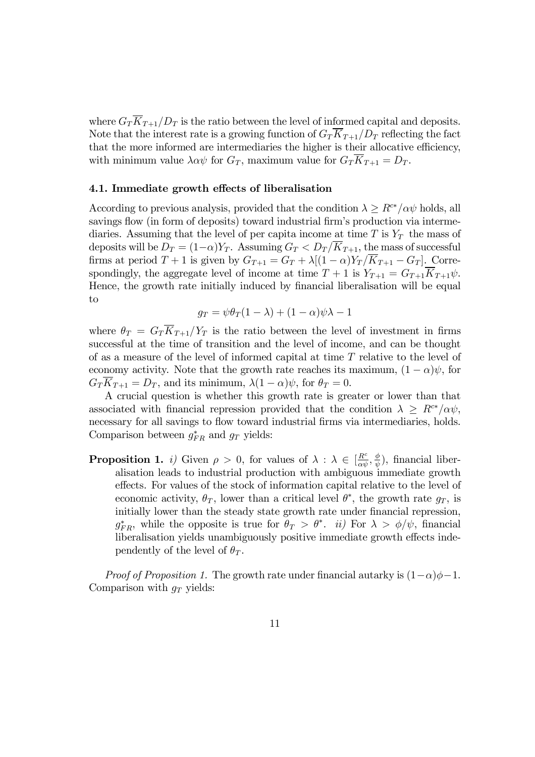where  $G_T\overline{K}_{T+1}/D_T$  is the ratio between the level of informed capital and deposits. Note that the interest rate is a growing function of  $G_T \overline{K}_{T+1}/D_T$  reflecting the fact that the more informed are intermediaries the higher is their allocative efficiency, with minimum value  $\lambda \alpha \psi$  for  $G_T$ , maximum value for  $G_T K_{T+1} = D_T$ .

#### 4.1. Immediate growth effects of liberalisation

According to previous analysis, provided that the condition  $\lambda \geq R^{c*}/\alpha \psi$  holds, all savings flow (in form of deposits) toward industrial firm's production via intermediaries. Assuming that the level of per capita income at time T is  $Y_T$  the mass of deposits will be  $D_T = (1-\alpha)Y_T$ . Assuming  $G_T < D_T / \overline{K}_{T+1}$ , the mass of successful firms at period  $T + 1$  is given by  $G_{T+1} = G_T + \lambda[(1 - \alpha)Y_T/\overline{K}_{T+1} - G_T]$ . Correspondingly, the aggregate level of income at time  $T + 1$  is  $Y_{T+1} = G_{T+1} \overline{K}_{T+1} \psi$ . Hence, the growth rate initially induced by financial liberalisation will be equal to

$$
g_T = \psi \theta_T (1 - \lambda) + (1 - \alpha) \psi \lambda - 1
$$

where  $\theta_T = G_T \overline{K}_{T+1}/Y_T$  is the ratio between the level of investment in firms successful at the time of transition and the level of income, and can be thought of as a measure of the level of informed capital at time  $T$  relative to the level of economy activity. Note that the growth rate reaches its maximum,  $(1 - \alpha)\psi$ , for  $G_T K_{T+1} = D_T$ , and its minimum,  $\lambda(1-\alpha)\psi$ , for  $\theta_T = 0$ .

A crucial question is whether this growth rate is greater or lower than that associated with financial repression provided that the condition  $\lambda \geq R^{c*}/\alpha \psi$ , necessary for all savings to flow toward industrial firms via intermediaries, holds. Comparison between  $g_{FR}^*$  and  $g_T$  yields:

**Proposition 1.** *i*) Given  $\rho > 0$ , for values of  $\lambda : \lambda \in \left[\frac{R^c}{\alpha \psi}, \frac{\phi}{\psi}\right)$ , financial liberalisation leads to industrial production with ambiguous immediate growth effects. For values of the stock of information capital relative to the level of economic activity,  $\theta_T$ , lower than a critical level  $\theta^*$ , the growth rate  $g_T$ , is initially lower than the steady state growth rate under financial repression,  $g_{FR}^*$ , while the opposite is true for  $\theta_T > \theta^*$ . *ii*) For  $\lambda > \phi/\psi$ , financial liberalisation yields unambiguously positive immediate growth effects independently of the level of  $\theta_T$ .

*Proof of Proposition 1.* The growth rate under financial autarky is  $(1-\alpha)\phi-1$ . Comparison with  $g_T$  yields: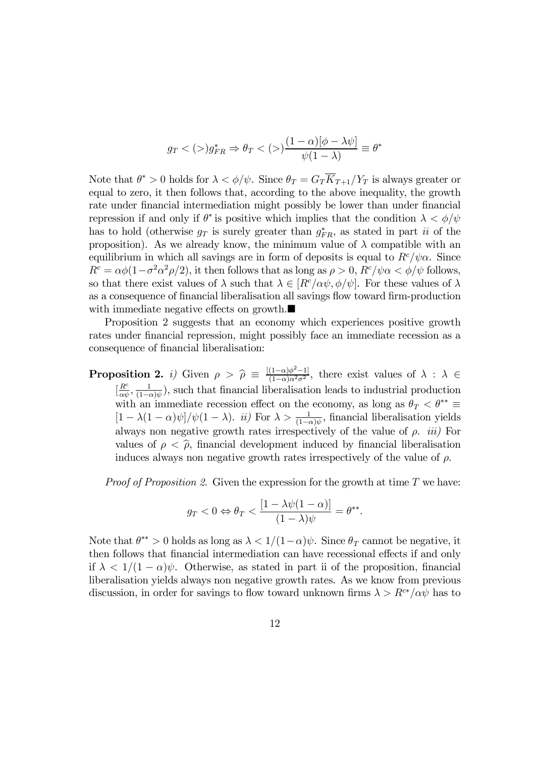$$
g_T <(>) g^*_{FR} \Rightarrow \theta_T <(>) \frac{(1-\alpha)[\phi - \lambda \psi]}{\psi(1-\lambda)} \equiv \theta^*
$$

Note that  $\theta^* > 0$  holds for  $\lambda < \phi/\psi$ . Since  $\theta_T = G_T \overline{K}_{T+1}/Y_T$  is always greater or equal to zero, it then follows that, according to the above inequality, the growth rate under financial intermediation might possibly be lower than under financial repression if and only if  $\theta^*$  is positive which implies that the condition  $\lambda < \phi/\psi$ has to hold (otherwise  $g_T$  is surely greater than  $g_{FR}^*$ , as stated in part *ii* of the proposition). As we already know, the minimum value of  $\lambda$  compatible with an equilibrium in which all savings are in form of deposits is equal to  $R^c/\psi\alpha$ . Since  $R^c = \alpha \phi (1 - \sigma^2 \alpha^2 \rho/2)$ , it then follows that as long as  $\rho > 0$ ,  $R^c / \psi \alpha < \phi / \psi$  follows, so that there exist values of  $\lambda$  such that  $\lambda \in [R^c/\alpha\psi, \phi/\psi]$ . For these values of  $\lambda$ as a consequence of financial liberalisation all savings flow toward firm-production with immediate negative effects on growth. $\blacksquare$ 

Proposition 2 suggests that an economy which experiences positive growth rates under financial repression, might possibly face an immediate recession as a consequence of financial liberalisation:

**Proposition 2.** *i*) Given  $\rho > \hat{\rho} \equiv \frac{[(1-\alpha)\phi^2-1]}{(1-\alpha)\alpha^2\sigma^2}$ , there exist values of  $\lambda : \lambda \in \mathbb{R}^n$  $\left[\frac{R^c}{\alpha\psi}, \frac{1}{(1-\alpha)\psi}\right)$ , such that financial liberalisation leads to industrial production with an immediate recession effect on the economy, as long as  $\theta_T < \theta^{**} \equiv$  $[1 - \lambda(1 - \alpha)\psi]/\psi(1 - \lambda)$ . *ii*) For  $\lambda > \frac{1}{(1 - \alpha)\psi}$ , financial liberalisation yields always non negative growth rates irrespectively of the value of  $\rho$ . *iii*) For values of  $\rho < \hat{\rho}$ , financial development induced by financial liberalisation induces always non negative growth rates irrespectively of the value of  $\rho$ .

*Proof of Proposition 2.* Given the expression for the growth at time  $T$  we have:

$$
g_T < 0 \Leftrightarrow \theta_T < \frac{\left[1 - \lambda \psi(1 - \alpha)\right]}{(1 - \lambda)\psi} = \theta^{**}.
$$

Note that  $\theta^{**} > 0$  holds as long as  $\lambda < 1/(1-\alpha)\psi$ . Since  $\theta_T$  cannot be negative, it then follows that financial intermediation can have recessional effects if and only if  $\lambda < 1/(1 - \alpha)\psi$ . Otherwise, as stated in part ii of the proposition, financial liberalisation yields always non negative growth rates. As we know from previous discussion, in order for savings to flow toward unknown firms  $\lambda > R^{c*}/\alpha\psi$  has to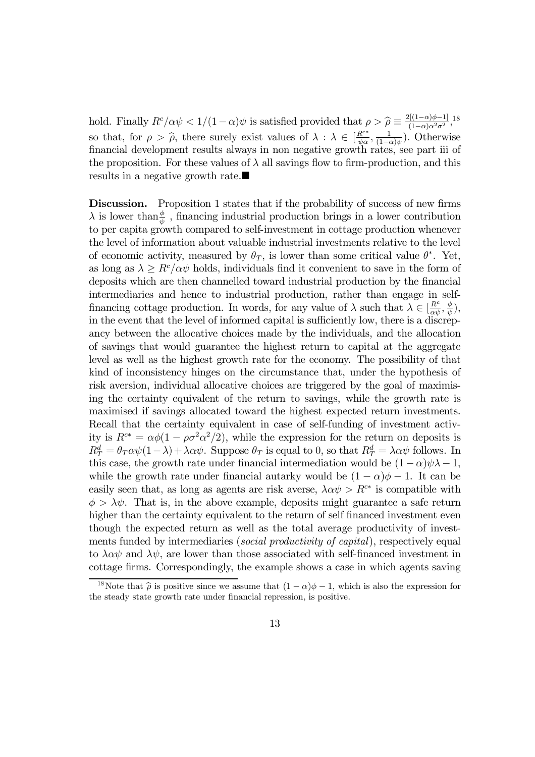hold. Finally  $R^c/\alpha\psi < 1/(1-\alpha)\psi$  is satisfied provided that  $\rho > \hat{\rho} \equiv \frac{2[(1-\alpha)\phi-1]}{(1-\alpha)\alpha^2\sigma^2}$ , so that, for  $\rho > \hat{\rho}$ , there surely exist values of  $\lambda : \lambda \in [\frac{R^{c*}}{\psi \alpha}, \frac{1}{(1-\alpha)\psi})$ . Otherwise financial development results always in non negative growth rates, see part iii of the proposition. For these values of  $\lambda$  all savings flow to firm-production, and this results in a negative growth rate. $\blacksquare$ 

Discussion. Proposition 1 states that if the probability of success of new firms  $\lambda$  is lower than  $\frac{\phi}{\psi}$ , financing industrial production brings in a lower contribution to per capita growth compared to self-investment in cottage production whenever the level of information about valuable industrial investments relative to the level of economic activity, measured by  $\theta_T$ , is lower than some critical value  $\theta^*$ . Yet, as long as  $\lambda \ge R^c/\alpha\psi$  holds, individuals find it convenient to save in the form of deposits which are then channelled toward industrial production by the financial intermediaries and hence to industrial production, rather than engage in selffinancing cottage production. In words, for any value of  $\lambda$  such that  $\lambda \in [\frac{R^c}{\alpha \psi}, \frac{\phi}{\psi}),$ in the event that the level of informed capital is sufficiently low, there is a discrepancy between the allocative choices made by the individuals, and the allocation of savings that would guarantee the highest return to capital at the aggregate level as well as the highest growth rate for the economy. The possibility of that kind of inconsistency hinges on the circumstance that, under the hypothesis of risk aversion, individual allocative choices are triggered by the goal of maximising the certainty equivalent of the return to savings, while the growth rate is maximised if savings allocated toward the highest expected return investments. Recall that the certainty equivalent in case of self-funding of investment activity is  $R^{c*} = \alpha \phi (1 - \rho \sigma^2 \alpha^2 / 2)$ , while the expression for the return on deposits is  $R_T^d = \theta_T \alpha \psi (1 - \lambda) + \lambda \alpha \psi$ . Suppose  $\theta_T$  is equal to 0, so that  $R_T^d = \lambda \alpha \psi$  follows. In this case, the growth rate under financial intermediation would be  $(1 - \alpha)\psi\lambda - 1$ , while the growth rate under financial autarky would be  $(1 - \alpha)\phi - 1$ . It can be easily seen that, as long as agents are risk averse,  $\lambda \alpha \psi > R^{c*}$  is compatible with  $\phi > \lambda \psi$ . That is, in the above example, deposits might guarantee a safe return higher than the certainty equivalent to the return of self financed investment even though the expected return as well as the total average productivity of investments funded by intermediaries *(social productivity of capital)*, respectively equal to  $\lambda \alpha \psi$  and  $\lambda \psi$ , are lower than those associated with self-financed investment in cottage firms. Correspondingly, the example shows a case in which agents saving

<sup>&</sup>lt;sup>18</sup>Note that  $\hat{\rho}$  is positive since we assume that  $(1 - \alpha)\phi - 1$ , which is also the expression for the steady state growth rate under financial repression, is positive.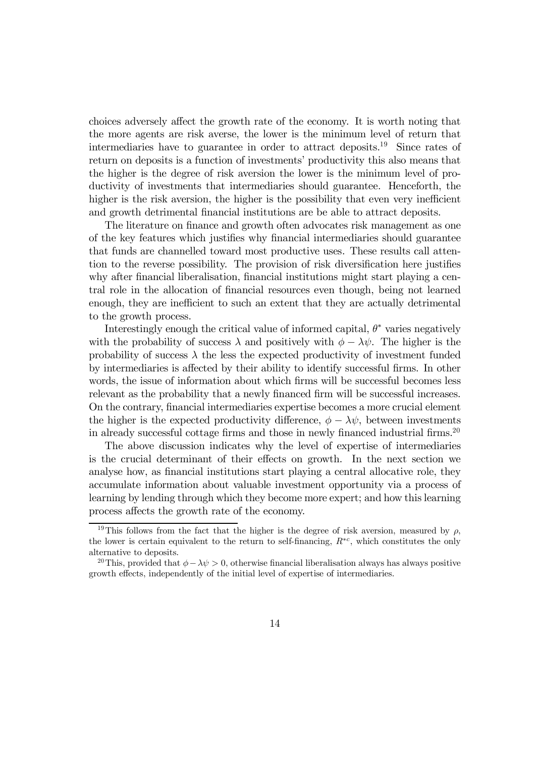choices adversely affect the growth rate of the economy. It is worth noting that the more agents are risk averse, the lower is the minimum level of return that intermediaries have to guarantee in order to attract deposits.<sup>19</sup> Since rates of return on deposits is a function of investments' productivity this also means that the higher is the degree of risk aversion the lower is the minimum level of productivity of investments that intermediaries should guarantee. Henceforth, the higher is the risk aversion, the higher is the possibility that even very inefficient and growth detrimental financial institutions are be able to attract deposits.

The literature on finance and growth often advocates risk management as one of the key features which justifies why financial intermediaries should guarantee that funds are channelled toward most productive uses. These results call attention to the reverse possibility. The provision of risk diversification here justifies why after financial liberalisation, financial institutions might start playing a central role in the allocation of financial resources even though, being not learned enough, they are inefficient to such an extent that they are actually detrimental to the growth process.

Interestingly enough the critical value of informed capital,  $\theta^*$  varies negatively with the probability of success  $\lambda$  and positively with  $\phi - \lambda \psi$ . The higher is the probability of success  $\lambda$  the less the expected productivity of investment funded by intermediaries is affected by their ability to identify successful firms. In other words, the issue of information about which firms will be successful becomes less relevant as the probability that a newly financed firm will be successful increases. On the contrary, financial intermediaries expertise becomes a more crucial element the higher is the expected productivity difference,  $\phi - \lambda \psi$ , between investments in already successful cottage firms and those in newly financed industrial firms.20

The above discussion indicates why the level of expertise of intermediaries is the crucial determinant of their effects on growth. In the next section we analyse how, as financial institutions start playing a central allocative role, they accumulate information about valuable investment opportunity via a process of learning by lending through which they become more expert; and how this learning process affects the growth rate of the economy.

<sup>&</sup>lt;sup>19</sup>This follows from the fact that the higher is the degree of risk aversion, measured by  $\rho$ , the lower is certain equivalent to the return to self-financing,  $R^{*c}$ , which constitutes the only alternative to deposits.

<sup>&</sup>lt;sup>20</sup>This, provided that  $\phi - \lambda \psi > 0$ , otherwise financial liberalisation always has always positive growth effects, independently of the initial level of expertise of intermediaries.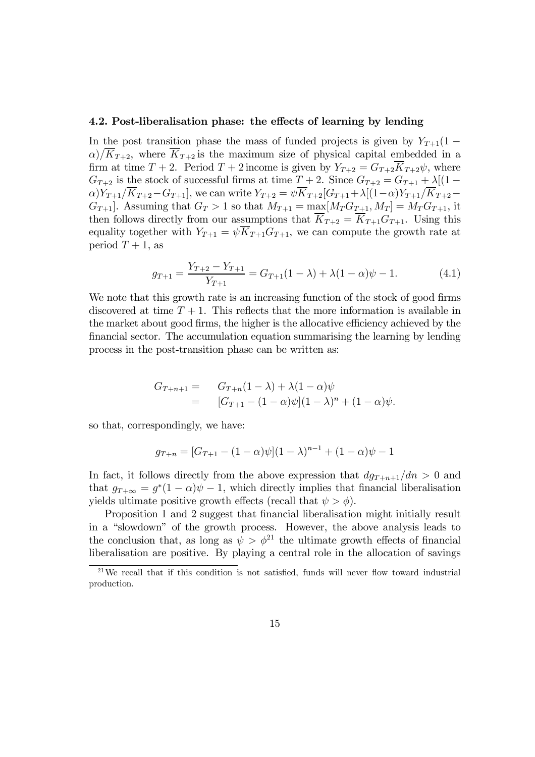#### 4.2. Post-liberalisation phase: the effects of learning by lending

In the post transition phase the mass of funded projects is given by  $Y_{T+1}(1 \alpha$ / $\overline{K}_{T+2}$ , where  $\overline{K}_{T+2}$  is the maximum size of physical capital embedded in a firm at time  $T + 2$ . Period  $T + 2$  income is given by  $Y_{T+2} = G_{T+2} \overline{K}_{T+2} \psi$ , where  $G_{T+2}$  is the stock of successful firms at time  $T+2$ . Since  $G_{T+2} = G_{T+1} + \lambda[(1-\lambda)^2]$  $\alpha)Y_{T+1}/\overline{K}_{T+2}-G_{T+1}$ , we can write  $Y_{T+2}=\psi\overline{K}_{T+2}[G_{T+1}+\lambda[(1-\alpha)Y_{T+1}/\overline{K}_{T+2} G_{T+1}$ . Assuming that  $G_T > 1$  so that  $M_{T+1} = \max[M_T G_{T+1}, M_T] = M_T G_{T+1}$ , it then follows directly from our assumptions that  $\overline{K}_{T+2} = \overline{K}_{T+1}G_{T+1}$ . Using this equality together with  $Y_{T+1} = \psi \overline{K}_{T+1} G_{T+1}$ , we can compute the growth rate at period  $T+1$ , as

$$
g_{T+1} = \frac{Y_{T+2} - Y_{T+1}}{Y_{T+1}} = G_{T+1}(1 - \lambda) + \lambda(1 - \alpha)\psi - 1.
$$
 (4.1)

We note that this growth rate is an increasing function of the stock of good firms discovered at time  $T + 1$ . This reflects that the more information is available in the market about good firms, the higher is the allocative efficiency achieved by the financial sector. The accumulation equation summarising the learning by lending process in the post-transition phase can be written as:

$$
G_{T+n+1} = G_{T+n}(1-\lambda) + \lambda(1-\alpha)\psi
$$
  
=  $[G_{T+1} - (1-\alpha)\psi](1-\lambda)^n + (1-\alpha)\psi.$ 

so that, correspondingly, we have:

$$
g_{T+n} = [G_{T+1} - (1 - \alpha)\psi](1 - \lambda)^{n-1} + (1 - \alpha)\psi - 1
$$

In fact, it follows directly from the above expression that  $dq_{T+n+1}/dn > 0$  and that  $g_{T+\infty} = g^*(1-\alpha)\psi - 1$ , which directly implies that financial liberalisation yields ultimate positive growth effects (recall that  $\psi > \phi$ ).

Proposition 1 and 2 suggest that financial liberalisation might initially result in a "slowdown" of the growth process. However, the above analysis leads to the conclusion that, as long as  $\psi > \phi^{21}$  the ultimate growth effects of financial liberalisation are positive. By playing a central role in the allocation of savings

 $21$ We recall that if this condition is not satisfied, funds will never flow toward industrial production.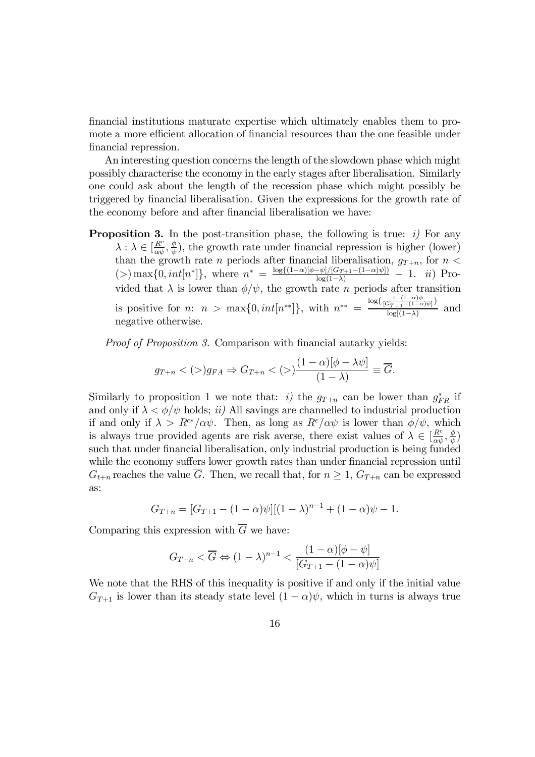financial institutions maturate expertise which ultimately enables them to promote a more efficient allocation of financial resources than the one feasible under financial repression.

An interesting question concerns the length of the slowdown phase which might possibly characterise the economy in the early stages after liberalisation. Similarly one could ask about the length of the recession phase which might possibly be triggered by financial liberalisation. Given the expressions for the growth rate of the economy before and after financial liberalisation we have:

**Proposition 3.** In the post-transition phase, the following is true:  $i$ ) For any  $\lambda : \lambda \in \left[\frac{R^c}{\alpha \psi}, \frac{\phi}{\psi}\right]$ , the growth rate under financial repression is higher (lower) than the growth rate *n* periods after financial liberalisation,  $g_{T+n}$ , for  $n <$  $(>) \max\{0, int[n^*]\},$  where  $n^* = \frac{\log\{(1-\alpha)[\phi-\psi]/[G_{T+1}-(1-\alpha)\psi]\}}{\log(1-\lambda)} - 1.$  *ii*) Provided that  $\lambda$  is lower than  $\phi/\psi$ , the growth rate *n* periods after transition is positive for *n*:  $n > \max\{0, int[n^{**}]\},\$  with  $n^{**} = \frac{\log\{\frac{1-(1-\alpha)\psi}{(G_{T+1}-(1-\alpha)\psi)}\}}{\log[(1-\lambda)]}\$ and negative otherwise.

Proof of Proposition 3. Comparison with financial autarky yields:

$$
g_{T+n} <(>) g_{FA} \Rightarrow G_{T+n} <(>)\frac{(1-\alpha)[\phi - \lambda \psi]}{(1-\lambda)} \equiv \overline{G}.
$$

Similarly to proposition 1 we note that: *i*) the  $g_{T+n}$  can be lower than  $g_{FR}^*$  if and only if  $\lambda < \phi/\psi$  holds; *ii*) All savings are channelled to industrial production if and only if  $\lambda > R^{c*}/\alpha\psi$ . Then, as long as  $R^{c}/\alpha\psi$  is lower than  $\phi/\psi$ , which is always true provided agents are risk averse, there exist values of  $\lambda \in \left[\frac{R^c}{\alpha\psi}, \frac{\phi}{\psi}\right)$ such that under financial liberalisation, only industrial production is being funded while the economy suffers lower growth rates than under financial repression until  $G_{t+n}$  reaches the value  $\overline{G}$ . Then, we recall that, for  $n \geq 1$ ,  $G_{T+n}$  can be expressed as:

$$
G_{T+n} = [G_{T+1} - (1 - \alpha)\psi][(1 - \lambda)^{n-1} + (1 - \alpha)\psi - 1.
$$

Comparing this expression with  $\overline{G}$  we have:

$$
G_{T+n} < \overline{G} \Leftrightarrow (1-\lambda)^{n-1} < \frac{(1-\alpha)[\phi - \psi]}{[G_{T+1} - (1-\alpha)\psi]}
$$

We note that the RHS of this inequality is positive if and only if the initial value  $G_{T+1}$  is lower than its steady state level  $(1 - \alpha)\psi$ , which in turns is always true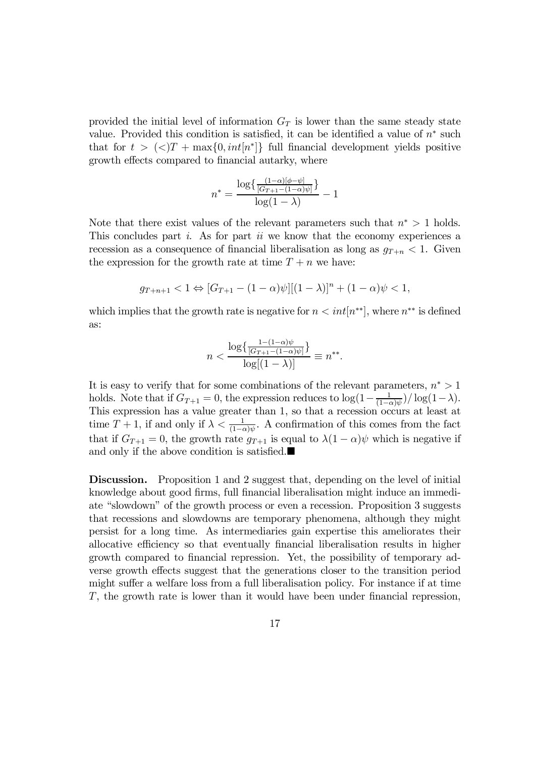provided the initial level of information  $G_T$  is lower than the same steady state value. Provided this condition is satisfied, it can be identified a value of  $n^*$  such that for  $t > \langle \langle \rangle T + \max\{0, int[n^*]\}\$ full financial development yields positive growth effects compared to financial autarky, where

$$
n^* = \frac{\log\{\frac{(1-\alpha)[\phi-\psi]}{[G_{T+1}-(1-\alpha)\psi]}\}}{\log(1-\lambda)} - 1
$$

Note that there exist values of the relevant parameters such that  $n^* > 1$  holds. This concludes part  $i$ . As for part  $ii$  we know that the economy experiences a recession as a consequence of financial liberalisation as long as  $g_{T+n} < 1$ . Given the expression for the growth rate at time  $T + n$  we have:

$$
g_{T+n+1} < 1 \Leftrightarrow [G_{T+1} - (1 - \alpha)\psi][(1 - \lambda)]^n + (1 - \alpha)\psi < 1,
$$

which implies that the growth rate is negative for  $n < int[n^{**}]$ , where  $n^{**}$  is defined as:

$$
n < \frac{\log\left\{\frac{1 - (1 - \alpha)\psi}{[G_{T+1} - (1 - \alpha)\psi]}\right\}}{\log[(1 - \lambda)]} \equiv n^{**}.
$$

It is easy to verify that for some combinations of the relevant parameters,  $n^* > 1$ holds. Note that if  $G_{T+1} = 0$ , the expression reduces to  $\log(1 - \frac{1}{(1-\alpha)\psi})/\log(1-\lambda)$ . This expression has a value greater than 1, so that a recession occurs at least at time  $T + 1$ , if and only if  $\lambda < \frac{1}{(1-\alpha)\psi}$ . A confirmation of this comes from the fact that if  $G_{T+1} = 0$ , the growth rate  $g_{T+1}$  is equal to  $\lambda(1-\alpha)\psi$  which is negative if and only if the above condition is satisfied. $\blacksquare$ 

Discussion. Proposition 1 and 2 suggest that, depending on the level of initial knowledge about good firms, full financial liberalisation might induce an immediate "slowdown" of the growth process or even a recession. Proposition 3 suggests that recessions and slowdowns are temporary phenomena, although they might persist for a long time. As intermediaries gain expertise this ameliorates their allocative efficiency so that eventually financial liberalisation results in higher growth compared to financial repression. Yet, the possibility of temporary adverse growth effects suggest that the generations closer to the transition period might suffer a welfare loss from a full liberalisation policy. For instance if at time T, the growth rate is lower than it would have been under financial repression,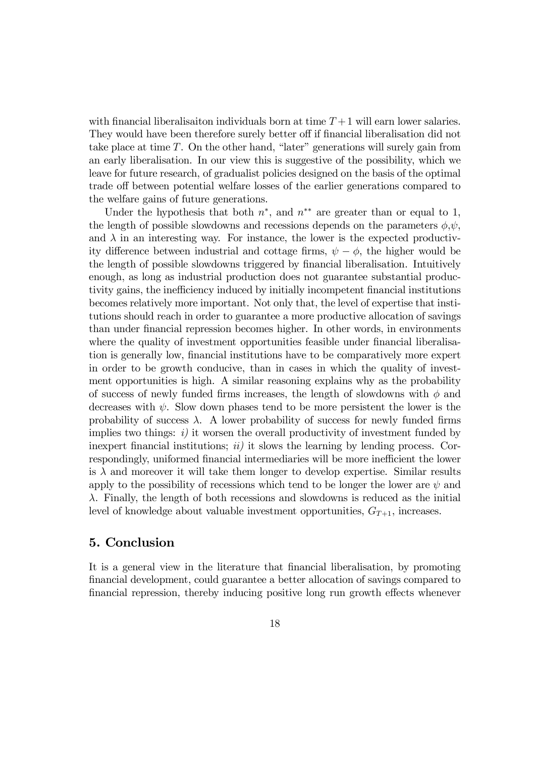with financial liberalisaiton individuals born at time  $T+1$  will earn lower salaries. They would have been therefore surely better off if financial liberalisation did not take place at time  $T$ . On the other hand, "later" generations will surely gain from an early liberalisation. In our view this is suggestive of the possibility, which we leave for future research, of gradualist policies designed on the basis of the optimal trade off between potential welfare losses of the earlier generations compared to the welfare gains of future generations.

Under the hypothesis that both  $n^*$ , and  $n^{**}$  are greater than or equal to 1, the length of possible slowdowns and recessions depends on the parameters  $\phi, \psi$ , and  $\lambda$  in an interesting way. For instance, the lower is the expected productivity difference between industrial and cottage firms,  $\psi - \phi$ , the higher would be the length of possible slowdowns triggered by financial liberalisation. Intuitively enough, as long as industrial production does not guarantee substantial productivity gains, the inefficiency induced by initially incompetent financial institutions becomes relatively more important. Not only that, the level of expertise that institutions should reach in order to guarantee a more productive allocation of savings than under financial repression becomes higher. In other words, in environments where the quality of investment opportunities feasible under financial liberalisation is generally low, financial institutions have to be comparatively more expert in order to be growth conducive, than in cases in which the quality of investment opportunities is high. A similar reasoning explains why as the probability of success of newly funded firms increases, the length of slowdowns with  $\phi$  and decreases with  $\psi$ . Slow down phases tend to be more persistent the lower is the probability of success  $\lambda$ . A lower probability of success for newly funded firms implies two things:  $i)$  it worsen the overall productivity of investment funded by inexpert financial institutions;  $ii)$  it slows the learning by lending process. Correspondingly, uniformed financial intermediaries will be more inefficient the lower is  $\lambda$  and moreover it will take them longer to develop expertise. Similar results apply to the possibility of recessions which tend to be longer the lower are  $\psi$  and  $\lambda$ . Finally, the length of both recessions and slowdowns is reduced as the initial level of knowledge about valuable investment opportunities,  $G_{T+1}$ , increases.

#### 5. Conclusion

It is a general view in the literature that financial liberalisation, by promoting financial development, could guarantee a better allocation of savings compared to financial repression, thereby inducing positive long run growth effects whenever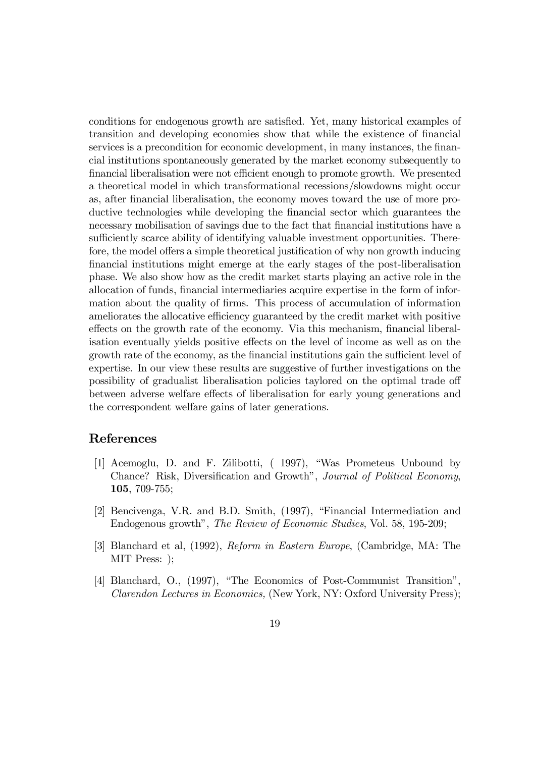conditions for endogenous growth are satisfied. Yet, many historical examples of transition and developing economies show that while the existence of financial services is a precondition for economic development, in many instances, the financial institutions spontaneously generated by the market economy subsequently to financial liberalisation were not efficient enough to promote growth. We presented a theoretical model in which transformational recessions/slowdowns might occur as, after financial liberalisation, the economy moves toward the use of more productive technologies while developing the financial sector which guarantees the necessary mobilisation of savings due to the fact that financial institutions have a sufficiently scarce ability of identifying valuable investment opportunities. Therefore, the model offers a simple theoretical justification of why non growth inducing financial institutions might emerge at the early stages of the post-liberalisation phase. We also show how as the credit market starts playing an active role in the allocation of funds, financial intermediaries acquire expertise in the form of information about the quality of firms. This process of accumulation of information ameliorates the allocative efficiency guaranteed by the credit market with positive effects on the growth rate of the economy. Via this mechanism, financial liberalisation eventually yields positive effects on the level of income as well as on the growth rate of the economy, as the financial institutions gain the sufficient level of expertise. In our view these results are suggestive of further investigations on the possibility of gradualist liberalisation policies taylored on the optimal trade off between adverse welfare effects of liberalisation for early young generations and the correspondent welfare gains of later generations.

#### References

- [1] Acemoglu, D. and F. Zilibotti, (1997), "Was Prometeus Unbound by Chance? Risk, Diversification and Growth", Journal of Political Economy, 105, 709-755;
- [2] Bencivenga, V.R. and B.D. Smith, (1997), "Financial Intermediation and Endogenous growth", The Review of Economic Studies, Vol. 58, 195-209;
- [3] Blanchard et al, (1992), Reform in Eastern Europe, (Cambridge, MA: The MIT Press: );
- [4] Blanchard, O., (1997), "The Economics of Post-Communist Transition", Clarendon Lectures in Economics, (New York, NY: Oxford University Press);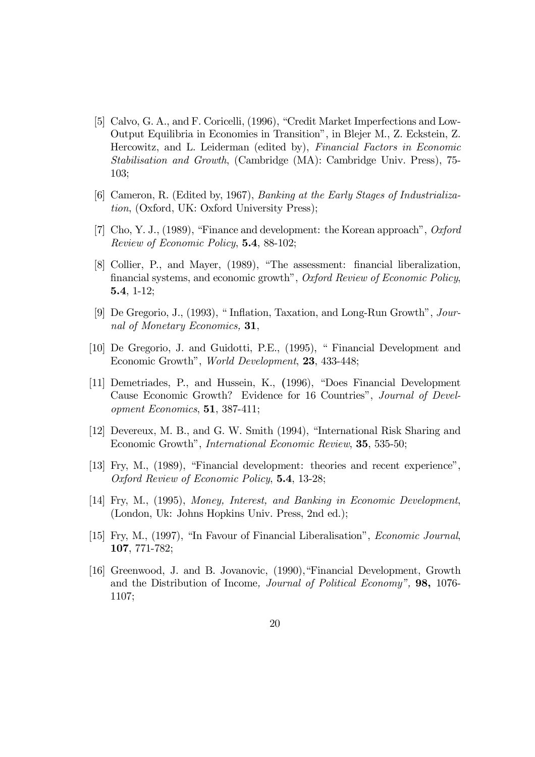- [5] Calvo, G. A., and F. Coricelli, (1996), "Credit Market Imperfections and Low-Output Equilibria in Economies in Transition", in Blejer M., Z. Eckstein, Z. Hercowitz, and L. Leiderman (edited by), Financial Factors in Economic Stabilisation and Growth, (Cambridge (MA): Cambridge Univ. Press), 75- $103:$
- [6] Cameron, R. (Edited by, 1967), Banking at the Early Stages of Industrializa*tion*, (Oxford, UK: Oxford University Press);
- [7] Cho, Y. J., (1989), "Finance and development: the Korean approach", Oxford Review of Economic Policy, 5.4, 88-102;
- [8] Collier, P., and Mayer, (1989), "The assessment: financial liberalization, financial systems, and economic growth", Oxford Review of Economic Policy,  $5.4, 1-12;$
- [9] De Gregorio, J., (1993), "Inflation, Taxation, and Long-Run Growth", Journal of Monetary Economics, 31,
- [10] De Gregorio, J. and Guidotti, P.E., (1995), " Financial Development and Economic Growth", World Development, 23, 433-448;
- [11] Demetriades, P., and Hussein, K., (1996), "Does Financial Development Cause Economic Growth? Evidence for 16 Countries", Journal of Development Economics, 51, 387-411;
- [12] Devereux, M. B., and G. W. Smith (1994), "International Risk Sharing and Economic Growth", *International Economic Review*, **35**, 535-50;
- [13] Fry, M., (1989), "Financial development: theories and recent experience", Oxford Review of Economic Policy, 5.4, 13-28;
- [14] Fry, M., (1995), Money, Interest, and Banking in Economic Development, (London, Uk: Johns Hopkins Univ. Press, 2nd ed.);
- [15] Fry, M., (1997), "In Favour of Financial Liberalisation", *Economic Journal*, 107, 771-782;
- [16] Greenwood, J. and B. Jovanovic, (1990), "Financial Development, Growth and the Distribution of Income, *Journal of Political Economy*", **98**, 1076-1107;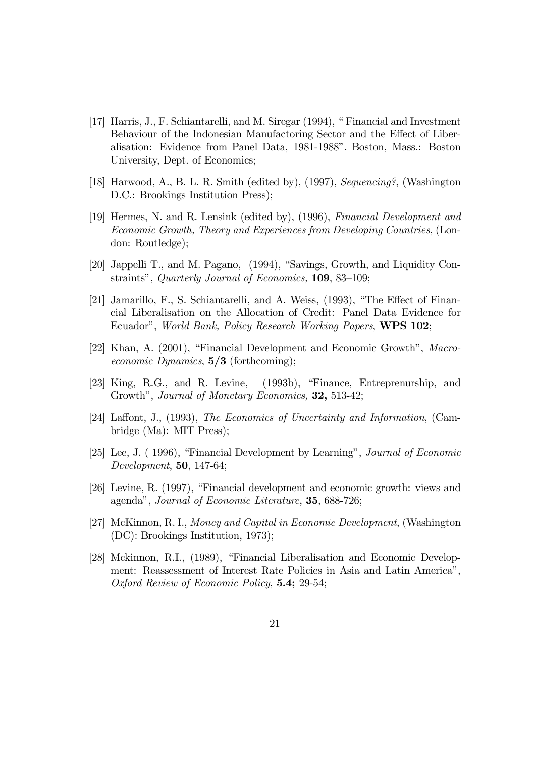- [17] Harris, J., F. Schiantarelli, and M. Siregar (1994), "Financial and Investment Behaviour of the Indonesian Manufactoring Sector and the Effect of Liberalisation: Evidence from Panel Data, 1981-1988". Boston, Mass.: Boston University, Dept. of Economics;
- [18] Harwood, A., B. L. R. Smith (edited by), (1997), Sequencing?, (Washington D.C.: Brookings Institution Press);
- [19] Hermes, N. and R. Lensink (edited by), (1996), Financial Development and Economic Growth, Theory and Experiences from Developing Countries, (London: Routledge);
- [20] Jappelli T., and M. Pagano, (1994), "Savings, Growth, and Liquidity Constraints", Quarterly Journal of Economics, 109, 83-109;
- [21] Jamarillo, F., S. Schiantarelli, and A. Weiss, (1993), "The Effect of Financial Liberalisation on the Allocation of Credit: Panel Data Evidence for Ecuador", World Bank, Policy Research Working Papers, WPS 102;
- [22] Khan, A. (2001), "Financial Development and Economic Growth", Macro*economic Dynamics*,  $5/3$  (forthcoming);
- [23] King, R.G., and R. Levine, (1993b), "Finance, Entreprenurship, and Growth", Journal of Monetary Economics, 32, 513-42;
- [24] Laffont, J., (1993), The Economics of Uncertainty and Information, (Cambridge  $(Ma)$ : MIT Press);
- [25] Lee, J. (1996), "Financial Development by Learning", *Journal of Economic Development*, **50**, 147-64;
- [26] Levine, R. (1997), "Financial development and economic growth: views and agenda", Journal of Economic Literature, 35, 688-726;
- [27] McKinnon, R. I., Money and Capital in Economic Development, (Washington (DC): Brookings Institution, 1973);
- [28] Mckinnon, R.I., (1989), "Financial Liberalisation and Economic Development: Reassessment of Interest Rate Policies in Asia and Latin America", Oxford Review of Economic Policy, 5.4; 29-54;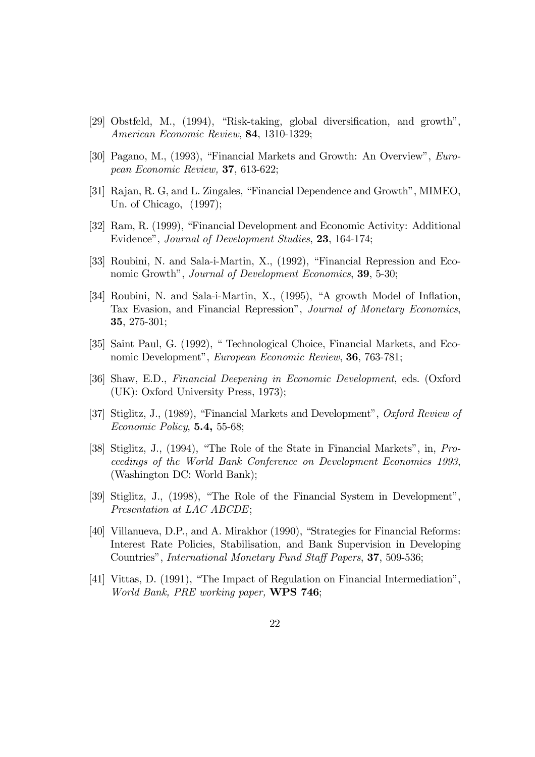- [29] Obstfeld, M., (1994), "Risk-taking, global diversification, and growth", American Economic Review, 84, 1310-1329;
- [30] Pagano, M., (1993), "Financial Markets and Growth: An Overview", European Economic Review, 37, 613-622;
- [31] Rajan, R. G, and L. Zingales, "Financial Dependence and Growth", MIMEO, Un. of Chicago,  $(1997)$ ;
- [32] Ram, R. (1999), "Financial Development and Economic Activity: Additional Evidence", Journal of Development Studies, 23, 164-174;
- [33] Roubini, N. and Sala-i-Martin, X., (1992), "Financial Repression and Economic Growth", Journal of Development Economics, 39, 5-30;
- [34] Roubini, N. and Sala-i-Martin, X., (1995), "A growth Model of Inflation, Tax Evasion, and Financial Repression", Journal of Monetary Economics, 35,  $275-301$ ;
- [35] Saint Paul, G. (1992), " Technological Choice, Financial Markets, and Economic Development", *European Economic Review*, **36**, 763-781;
- [36] Shaw, E.D., Financial Deepening in Economic Development, eds. (Oxford  $(UK):$  Oxford University Press, 1973);
- [37] Stiglitz, J., (1989), "Financial Markets and Development", Oxford Review of Economic Policy,  $5.4$ ,  $55-68$ ;
- [38] Stiglitz, J., (1994), "The Role of the State in Financial Markets", in, Proceedings of the World Bank Conference on Development Economics 1993, (Washington DC: World Bank);
- [39] Stiglitz, J., (1998), "The Role of the Financial System in Development", Presentation at LAC ABCDE;
- [40] Villanueva, D.P., and A. Mirakhor (1990), "Strategies for Financial Reforms: Interest Rate Policies, Stabilisation, and Bank Supervision in Developing Countries", International Monetary Fund Staff Papers, 37, 509-536;
- [41] Vittas, D. (1991), "The Impact of Regulation on Financial Intermediation", World Bank, PRE working paper, WPS 746;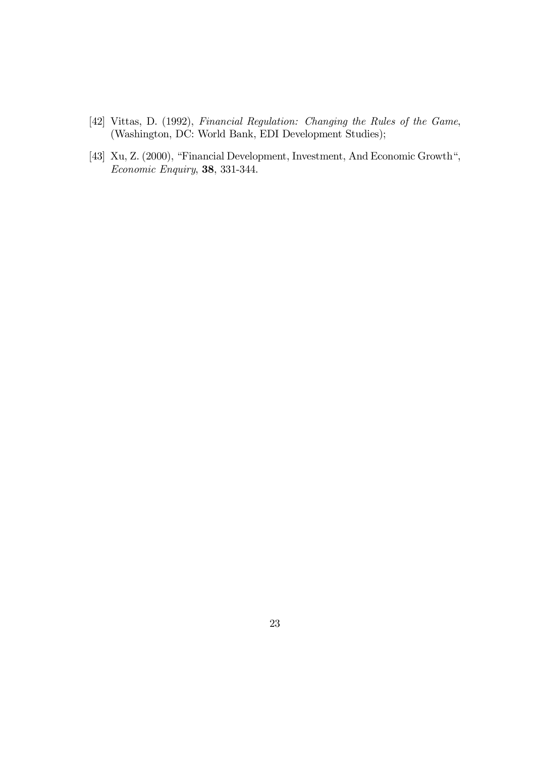- [42] Vittas, D. (1992), Financial Regulation: Changing the Rules of the Game, (Washington, DC: World Bank, EDI Development Studies);
- [43] Xu, Z. (2000), "Financial Development, Investment, And Economic Growth", Economic Enquiry, 38, 331-344.